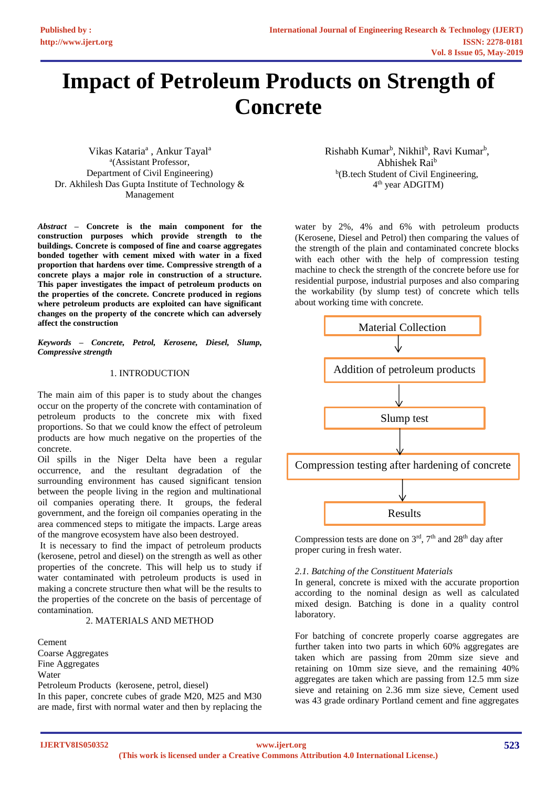# **Impact of Petroleum Products on Strength of Concrete**

Vikas Kataria<sup>a</sup>, Ankur Tayal<sup>a</sup> a (Assistant Professor, Department of Civil Engineering) Dr. Akhilesh Das Gupta Institute of Technology & Management

*Abstract* **– Concrete is the main component for the construction purposes which provide strength to the buildings. Concrete is composed of fine and coarse aggregates bonded together with cement mixed with water in a fixed proportion that hardens over time. Compressive strength of a concrete plays a major role in construction of a structure. This paper investigates the impact of petroleum products on the properties of the concrete. Concrete produced in regions where petroleum products are exploited can have significant changes on the property of the concrete which can adversely affect the construction**

*Keywords – Concrete, Petrol, Kerosene, Diesel, Slump, Compressive strength*

## 1. INTRODUCTION

The main aim of this paper is to study about the changes occur on the property of the concrete with contamination of petroleum products to the concrete mix with fixed proportions. So that we could know the effect of petroleum products are how much negative on the properties of the concrete.

Oil spills in the Niger Delta have been a regular occurrence, and the resultant degradation of the surrounding environment has caused significant tension between the people living in the region and multinational oil companies operating there. It groups, the federal government, and the foreign oil companies operating in the area commenced steps to mitigate the impacts. Large areas of the mangrove ecosystem have also been destroyed.

It is necessary to find the impact of petroleum products (kerosene, petrol and diesel) on the strength as well as other properties of the concrete. This will help us to study if water contaminated with petroleum products is used in making a concrete structure then what will be the results to the properties of the concrete on the basis of percentage of contamination.

### 2. MATERIALS AND METHOD

Cement Coarse Aggregates Fine Aggregates Water Petroleum Products (kerosene, petrol, diesel) In this paper, concrete cubes of grade M20, M25 and M30 are made, first with normal water and then by replacing the Rishabh Kumar<sup>b</sup>, Nikhil<sup>b</sup>, Ravi Kumar<sup>b</sup>, Abhishek Rai<sup>b</sup> <sup>b</sup>(B.tech Student of Civil Engineering, 4 th year ADGITM)

water by 2%, 4% and 6% with petroleum products (Kerosene, Diesel and Petrol) then comparing the values of the strength of the plain and contaminated concrete blocks with each other with the help of compression testing machine to check the strength of the concrete before use for residential purpose, industrial purposes and also comparing the workability (by slump test) of concrete which tells about working time with concrete.



Compression tests are done on  $3<sup>rd</sup>$ ,  $7<sup>th</sup>$  and  $28<sup>th</sup>$  day after proper curing in fresh water.

## *2.1. Batching of the Constituent Materials*

In general, concrete is mixed with the accurate proportion according to the nominal design as well as calculated mixed design. Batching is done in a quality control laboratory.

For batching of concrete properly coarse aggregates are further taken into two parts in which 60% aggregates are taken which are passing from 20mm size sieve and retaining on 10mm size sieve, and the remaining 40% aggregates are taken which are passing from 12.5 mm size sieve and retaining on 2.36 mm size sieve, Cement used was 43 grade ordinary Portland cement and fine aggregates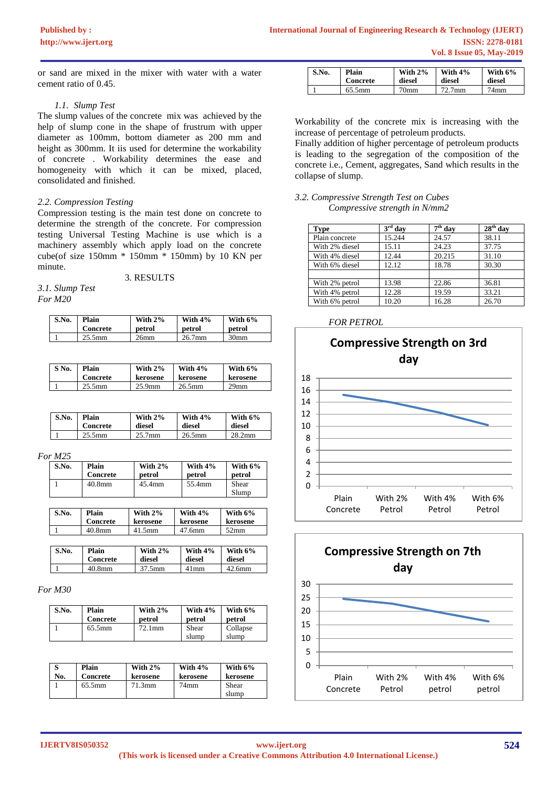or sand are mixed in the mixer with water with a water cement ratio of 0.45.

#### *1.1. Slump Test*

The slump values of the concrete mix was achieved by the help of slump cone in the shape of frustrum with upper diameter as 100mm, bottom diameter as 200 mm and height as 300mm. It iis used for determine the workability of concrete . Workability determines the ease and homogeneity with which it can be mixed, placed, consolidated and finished.

#### *2.2. Compression Testing*

Compression testing is the main test done on concrete to determine the strength of the concrete. For compression testing Universal Testing Machine is use which is a machinery assembly which apply load on the concrete cube(of size 150mm \* 150mm \* 150mm) by 10 KN per minute.

3. RESULTS

*3.1. Slump Test For M20*

| S.No. | Plain           | With $2\%$       | With $4\%$ | With $6\%$       |
|-------|-----------------|------------------|------------|------------------|
|       | <b>Concrete</b> | petrol           | petrol     | petrol           |
|       | $25.5$ mm       | 26 <sub>mm</sub> | $26.7$ mm  | 30 <sub>mm</sub> |

| S No. | Plain           | With $2\%$ | With $4\%$ | With $6\%$       |
|-------|-----------------|------------|------------|------------------|
|       | <b>Concrete</b> | kerosene   | kerosene   | kerosene         |
|       | $25.5$ mm       | $25.9$ mm  | $26.5$ mm  | 29 <sub>mm</sub> |

| S.No. | Plain           | With $2\%$         | With $4\%$ | With $6\%$         |
|-------|-----------------|--------------------|------------|--------------------|
|       | <b>Concrete</b> | diesel             | diesel     | diesel             |
|       | $25.5$ mm       | 25.7 <sub>mm</sub> | $26.5$ mm  | 28.2 <sub>mm</sub> |

*For M25*

| S.No. | Plain<br>Concrete | With $2\%$<br>petrol | With $4\%$<br>petrol | With $6\%$<br>petrol |
|-------|-------------------|----------------------|----------------------|----------------------|
|       | 40.8mm            | 45.4mm               | 55.4mm               | Shear<br>Slump       |
|       |                   |                      |                      |                      |

| S.No. | Plain<br>Concrete | With $2\%$<br>kerosene | With $4\%$<br>kerosene | With $6\%$<br>kerosene |
|-------|-------------------|------------------------|------------------------|------------------------|
|       | 40.8mm            | $41.5$ mm              | 47.6mm                 | 52 <sub>mm</sub>       |
|       |                   |                        |                        |                        |

| S.No. | Plain    | With $2\%$ | With $4\%$ | With $6\%$ |
|-------|----------|------------|------------|------------|
|       | Concrete | diesel     | diesel     | diesel     |
|       | 40.8mm   | 37.5mm     | $41$ mm    | $42.6$ mm  |

### *For M30*

| S.No. | Plain     | With $2\%$ | With $4\%$     | With $6\%$        |
|-------|-----------|------------|----------------|-------------------|
|       | Concrete  | petrol     | petrol         | petrol            |
|       | $65.5$ mm | $72.1$ mm  | Shear<br>slump | Collapse<br>slump |

| No. | Plain    | With $2\%$ | With $4\%$ | With $6\%$     |
|-----|----------|------------|------------|----------------|
|     | Concrete | kerosene   | kerosene   | kerosene       |
|     | 65.5mm   | 71.3mm     | 74mm       | Shear<br>slump |

| S.No. | Plain<br>Concrete | With $2\%$<br>diesel | With $4\%$<br>diesel | With $6\%$<br>diesel |
|-------|-------------------|----------------------|----------------------|----------------------|
|       | $65.5 \text{mm}$  | $70$ mm              | $72.7$ mm            | $74$ mm              |

Workability of the concrete mix is increasing with the increase of percentage of petroleum products.

Finally addition of higher percentage of petroleum products is leading to the segregation of the composition of the concrete i.e., Cement, aggregates, Sand which results in the collapse of slump.

*3.2. Compressive Strength Test on Cubes Compressive strength in N/mm2*

| <b>Type</b>    | $3rd$ day | $7th$ day | $28th$ day |
|----------------|-----------|-----------|------------|
| Plain concrete | 15.244    | 24.57     | 38.11      |
| With 2% diesel | 15.11     | 24.23     | 37.75      |
| With 4% diesel | 12.44     | 20.215    | 31.10      |
| With 6% diesel | 12.12     | 18.78     | 30.30      |
|                |           |           |            |
| With 2% petrol | 13.98     | 22.86     | 36.81      |
| With 4% petrol | 12.28     | 19.59     | 33.21      |
| With 6% petrol | 10.20     | 16.28     | 26.70      |

#### *FOR PETROL*



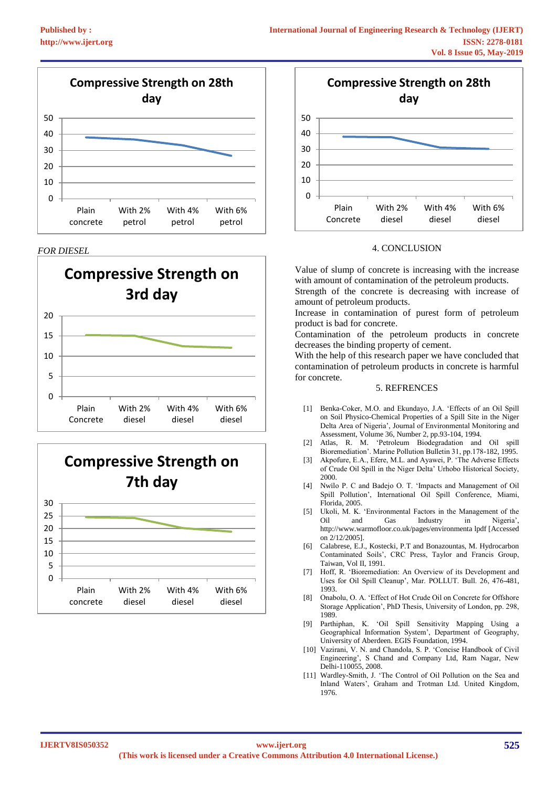







## *FOR DIESEL* 4. CONCLUSION

Value of slump of concrete is increasing with the increase with amount of contamination of the petroleum products.

Strength of the concrete is decreasing with increase of amount of petroleum products.

Increase in contamination of purest form of petroleum product is bad for concrete.

Contamination of the petroleum products in concrete decreases the binding property of cement.

With the help of this research paper we have concluded that contamination of petroleum products in concrete is harmful for concrete.

#### 5. REFRENCES

- [1] Benka-Coker, M.O. and Ekundayo, J.A. 'Effects of an Oil Spill on Soil Physico-Chemical Properties of a Spill Site in the Niger Delta Area of Nigeria', Journal of Environmental Monitoring and Assessment, Volume 36, Number 2, pp.93-104, 1994.
- [2] Atlas, R. M. 'Petroleum Biodegradation and Oil spill Bioremediation'. Marine Pollution Bulletin 31, pp.178-182, 1995.
- [3] Akpofure, E.A., Efere, M.L. and Ayawei, P. 'The Adverse Effects of Crude Oil Spill in the Niger Delta' Urhobo Historical Society, 2000.
- [4] Nwilo P. C and Badejo O. T. 'Impacts and Management of Oil Spill Pollution', International Oil Spill Conference, Miami, Florida, 2005.
- [5] Ukoli, M. K. 'Environmental Factors in the Management of the Oil and Gas Industry in Nigeria', http://www.warmofloor.co.uk/pages/environmenta lpdf [Accessed on 2/12/2005].
- [6] Calabrese, E.J., Kostecki, P.T and Bonazountas, M. Hydrocarbon Contaminated Soils', CRC Press, Taylor and Francis Group, Taiwan, Vol II, 1991.
- [7] Hoff, R. 'Bioremediation: An Overview of its Development and Uses for Oil Spill Cleanup', Mar. POLLUT. Bull. 26, 476-481, 1993.
- [8] Onabolu, O. A. 'Effect of Hot Crude Oil on Concrete for Offshore Storage Application', PhD Thesis, University of London, pp. 298, 1989.
- [9] Parthiphan, K. 'Oil Spill Sensitivity Mapping Using a Geographical Information System', Department of Geography, University of Aberdeen. EGIS Foundation, 1994.
- [10] Vazirani, V. N. and Chandola, S. P. 'Concise Handbook of Civil Engineering', S Chand and Company Ltd, Ram Nagar, New Delhi-110055, 2008.
- [11] Wardley-Smith, J. 'The Control of Oil Pollution on the Sea and Inland Waters', Graham and Trotman Ltd. United Kingdom, 1976.

#### **IJERTV8IS050352**